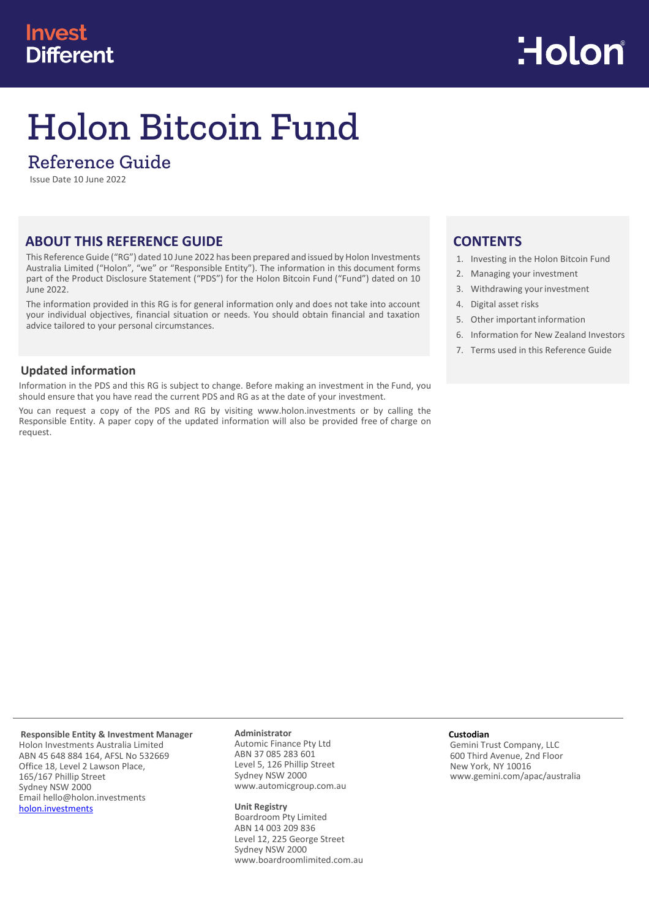# **Invest Different**



# Holon Bitcoin Fund

## Reference Guide

Issue Date 10 June 2022

## **ABOUT THIS REFERENCE GUIDE**

This Reference Guide ("RG") dated 10 June 2022 has been prepared and issued by Holon Investments Australia Limited ("Holon", "we" or "Responsible Entity"). The information in this document forms part of the Product Disclosure Statement ("PDS") for the Holon Bitcoin Fund ("Fund") dated on 10 June 2022.

The information provided in this RG is for general information only and does not take into account your individual objectives, financial situation or needs. You should obtain financial and taxation advice tailored to your personal circumstances.

## **Updated information**

Information in the PDS and this RG is subject to change. Before making an investment in the Fund, you should ensure that you have read the current PDS and RG as at the date of your investment.

You can request a copy of the PDS and RG by visiting [www.holon.investments](http://www.holon.investments/) or by calling the Responsible Entity. A paper copy of the updated information will also be provided free of charge on request.

## **CONTENTS**

- 1. Investing in the Holon Bitcoin Fund
- 2. Managing your investment
- 3. Withdrawing your investment
- 4. Digital asset risks
- 5. Other important information
- 6. Information for New Zealand Investors
- 7. Terms used in this Reference Guide

**Responsible Entity & Investment Manager** Holon Investments Australia Limited ABN 45 648 884 164, AFSL No 532669 Office 18, Level 2 Lawson Place, 165/167 Phillip Street Sydney NSW 2000

Email hello@holon.investments

[holon.investments](http://holon.investments/)

**Administrator**

Automic Finance Pty Ltd ABN 37 085 283 601 Level 5, 126 Phillip Street Sydney NSW 2000 www.automicgroup.com.au

#### **Unit Registry**

Boardroom Pty Limited ABN 14 003 209 836 Level 12, 225 George Street Sydney NSW 2000 [www.boardroomlimited.com.au](http://www.boardroomlimited.com.au/)

#### **Custodian**

Gemini Trust Company, LLC 600 Third Avenue, 2nd Floor New York, NY 10016 www.gemini.com/apac/australia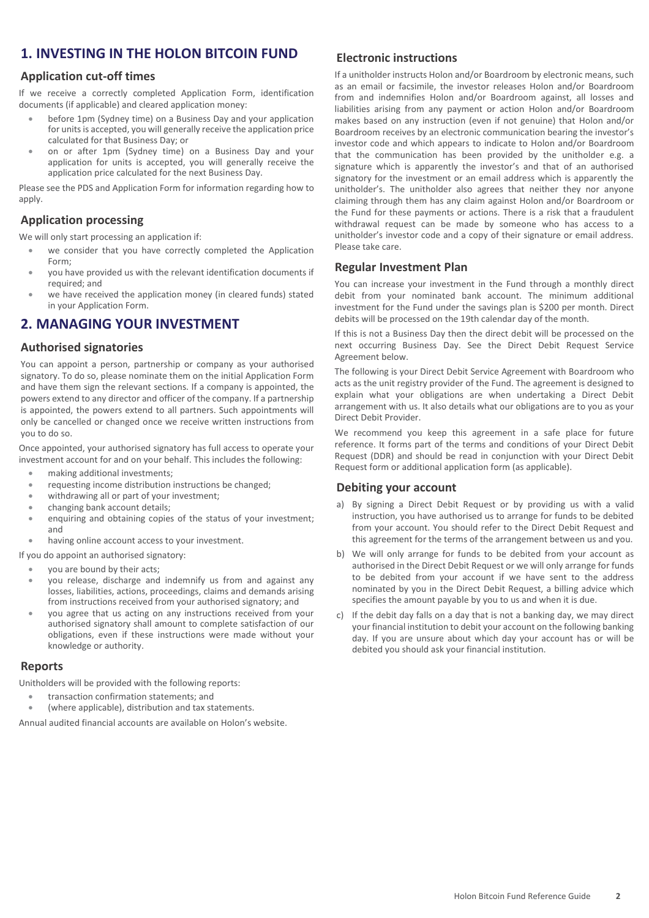## **1. INVESTING IN THE HOLON BITCOIN FUND**

## **Application cut-off times**

If we receive a correctly completed Application Form, identification documents (if applicable) and cleared application money:

- before 1pm (Sydney time) on a Business Day and your application for units is accepted, you will generally receive the application price calculated for that Business Day; or
- on or after 1pm (Sydney time) on a Business Day and your application for units is accepted, you will generally receive the application price calculated for the next Business Day.

Please see the PDS and Application Form for information regarding how to apply.

## **Application processing**

We will only start processing an application if:

- we consider that you have correctly completed the Application Form;
- you have provided us with the relevant identification documents if required; and
- we have received the application money (in cleared funds) stated in your Application Form.

## **2. MANAGING YOUR INVESTMENT**

## **Authorised signatories**

You can appoint a person, partnership or company as your authorised signatory. To do so, please nominate them on the initial Application Form and have them sign the relevant sections. If a company is appointed, the powers extend to any director and officer of the company. If a partnership is appointed, the powers extend to all partners. Such appointments will only be cancelled or changed once we receive written instructions from you to do so.

Once appointed, your authorised signatory has full access to operate your investment account for and on your behalf. This includes the following:

- making additional investments;
- requesting income distribution instructions be changed;
- withdrawing all or part of your investment;
- changing bank account details;
- enquiring and obtaining copies of the status of your investment; and
- having online account access to your investment.

If you do appoint an authorised signatory:

- you are bound by their acts;
- you release, discharge and indemnify us from and against any losses, liabilities, actions, proceedings, claims and demands arising from instructions received from your authorised signatory; and
- you agree that us acting on any instructions received from your authorised signatory shall amount to complete satisfaction of our obligations, even if these instructions were made without your knowledge or authority.

#### **Reports**

Unitholders will be provided with the following reports:

- transaction confirmation statements; and
- (where applicable), distribution and tax statements.

Annual audited financial accounts are available on Holon's website.

## **Electronic instructions**

If a unitholder instructs Holon and/or Boardroom by electronic means, such as an email or facsimile, the investor releases Holon and/or Boardroom from and indemnifies Holon and/or Boardroom against, all losses and liabilities arising from any payment or action Holon and/or Boardroom makes based on any instruction (even if not genuine) that Holon and/or Boardroom receives by an electronic communication bearing the investor's investor code and which appears to indicate to Holon and/or Boardroom that the communication has been provided by the unitholder e.g. a signature which is apparently the investor's and that of an authorised signatory for the investment or an email address which is apparently the unitholder's. The unitholder also agrees that neither they nor anyone claiming through them has any claim against Holon and/or Boardroom or the Fund for these payments or actions. There is a risk that a fraudulent withdrawal request can be made by someone who has access to a unitholder's investor code and a copy of their signature or email address. Please take care.

## **Regular Investment Plan**

You can increase your investment in the Fund through a monthly direct debit from your nominated bank account. The minimum additional investment for the Fund under the savings plan is \$200 per month. Direct debits will be processed on the 19th calendar day of the month.

If this is not a Business Day then the direct debit will be processed on the next occurring Business Day. See the Direct Debit Request Service Agreement below.

The following is your Direct Debit Service Agreement with Boardroom who acts as the unit registry provider of the Fund. The agreement is designed to explain what your obligations are when undertaking a Direct Debit arrangement with us. It also details what our obligations are to you as your Direct Debit Provider.

We recommend you keep this agreement in a safe place for future reference. It forms part of the terms and conditions of your Direct Debit Request (DDR) and should be read in conjunction with your Direct Debit Request form or additional application form (as applicable).

#### **Debiting your account**

- a) By signing a Direct Debit Request or by providing us with a valid instruction, you have authorised us to arrange for funds to be debited from your account. You should refer to the Direct Debit Request and this agreement for the terms of the arrangement between us and you.
- b) We will only arrange for funds to be debited from your account as authorised in the Direct Debit Request or we will only arrange for funds to be debited from your account if we have sent to the address nominated by you in the Direct Debit Request, a billing advice which specifies the amount payable by you to us and when it is due.
- c) If the debit day falls on a day that is not a banking day, we may direct your financial institution to debit your account on the following banking day. If you are unsure about which day your account has or will be debited you should ask your financial institution.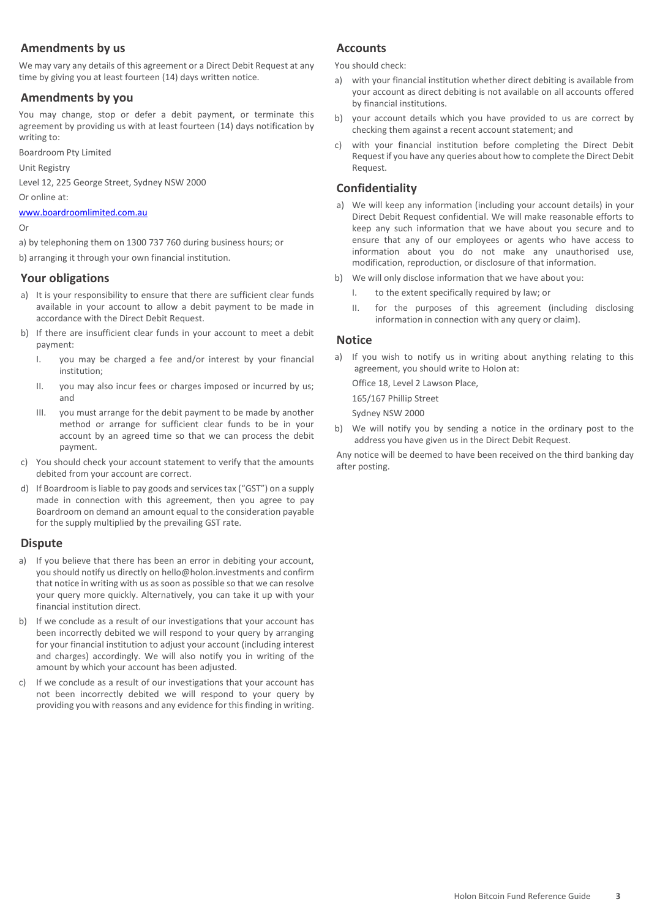## **Amendments by us**

We may vary any details of this agreement or a Direct Debit Request at any time by giving you at least fourteen (14) days written notice.

## **Amendments by you**

You may change, stop or defer a debit payment, or terminate this agreement by providing us with at least fourteen (14) days notification by writing to:

Boardroom Pty Limited

Unit Registry

Level 12, 225 George Street, Sydney NSW 2000

Or online at:

[www.boardroomlimited.com.au](http://www.boardroomlimited.com.au/)

#### Or

a) by telephoning them on 1300 737 760 during business hours; or

b) arranging it through your own financial institution.

## **Your obligations**

- a) It is your responsibility to ensure that there are sufficient clear funds available in your account to allow a debit payment to be made in accordance with the Direct Debit Request.
- b) If there are insufficient clear funds in your account to meet a debit payment:
	- I. you may be charged a fee and/or interest by your financial institution;
	- II. you may also incur fees or charges imposed or incurred by us; and
	- III. you must arrange for the debit payment to be made by another method or arrange for sufficient clear funds to be in your account by an agreed time so that we can process the debit payment.
- c) You should check your account statement to verify that the amounts debited from your account are correct.
- d) If Boardroom is liable to pay goods and services tax ("GST") on a supply made in connection with this agreement, then you agree to pay Boardroom on demand an amount equal to the consideration payable for the supply multiplied by the prevailing GST rate.

## **Dispute**

- a) If you believe that there has been an error in debiting your account, you should notify us directly on hello@holon.investments and confirm that notice in writing with us as soon as possible so that we can resolve your query more quickly. Alternatively, you can take it up with your financial institution direct.
- b) If we conclude as a result of our investigations that your account has been incorrectly debited we will respond to your query by arranging for your financial institution to adjust your account (including interest and charges) accordingly. We will also notify you in writing of the amount by which your account has been adjusted.
- c) If we conclude as a result of our investigations that your account has not been incorrectly debited we will respond to your query by providing you with reasons and any evidence for this finding in writing.

## **Accounts**

You should check:

- a) with your financial institution whether direct debiting is available from your account as direct debiting is not available on all accounts offered by financial institutions.
- b) your account details which you have provided to us are correct by checking them against a recent account statement; and
- c) with your financial institution before completing the Direct Debit Request if you have any queries about how to complete the Direct Debit Request.

## **Confidentiality**

- a) We will keep any information (including your account details) in your Direct Debit Request confidential. We will make reasonable efforts to keep any such information that we have about you secure and to ensure that any of our employees or agents who have access to information about you do not make any unauthorised use, modification, reproduction, or disclosure of that information.
- b) We will only disclose information that we have about you:
	- I. to the extent specifically required by law; or
	- II. for the purposes of this agreement (including disclosing information in connection with any query or claim).

## **Notice**

a) If you wish to notify us in writing about anything relating to this agreement, you should write to Holon at:

Office 18, Level 2 Lawson Place,

165/167 Phillip Street Sydney NSW 2000

b) We will notify you by sending a notice in the ordinary post to the address you have given us in the Direct Debit Request.

Any notice will be deemed to have been received on the third banking day after posting.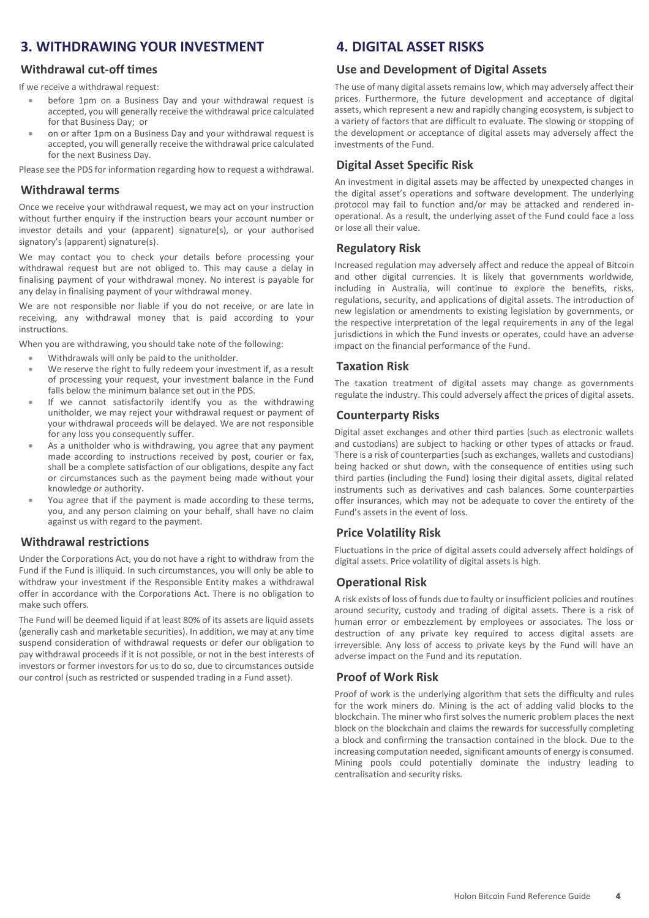## **3. WITHDRAWING YOUR INVESTMENT**

## **Withdrawal cut-off times**

If we receive a withdrawal request:

- before 1pm on a Business Day and your withdrawal request is accepted, you will generally receive the withdrawal price calculated for that Business Day; or
- on or after 1pm on a Business Day and your withdrawal request is accepted, you will generally receive the withdrawal price calculated for the next Business Day.

Please see the PDS for information regarding how to request a withdrawal.

#### **Withdrawal terms**

Once we receive your withdrawal request, we may act on your instruction without further enquiry if the instruction bears your account number or investor details and your (apparent) signature(s), or your authorised signatory's (apparent) signature(s).

We may contact you to check your details before processing your withdrawal request but are not obliged to. This may cause a delay in finalising payment of your withdrawal money. No interest is payable for any delay in finalising payment of your withdrawal money.

We are not responsible nor liable if you do not receive, or are late in receiving, any withdrawal money that is paid according to your instructions.

When you are withdrawing, you should take note of the following:

- Withdrawals will only be paid to the unitholder.
- We reserve the right to fully redeem your investment if, as a result of processing your request, your investment balance in the Fund falls below the minimum balance set out in the PDS.
- If we cannot satisfactorily identify you as the withdrawing unitholder, we may reject your withdrawal request or payment of your withdrawal proceeds will be delayed. We are not responsible for any loss you consequently suffer.
- As a unitholder who is withdrawing, you agree that any payment made according to instructions received by post, courier or fax, shall be a complete satisfaction of our obligations, despite any fact or circumstances such as the payment being made without your knowledge or authority.
- You agree that if the payment is made according to these terms, you, and any person claiming on your behalf, shall have no claim against us with regard to the payment.

## **Withdrawal restrictions**

Under the Corporations Act, you do not have a right to withdraw from the Fund if the Fund is illiquid. In such circumstances, you will only be able to withdraw your investment if the Responsible Entity makes a withdrawal offer in accordance with the Corporations Act. There is no obligation to make such offers.

The Fund will be deemed liquid if at least 80% of its assets are liquid assets (generally cash and marketable securities). In addition, we may at any time suspend consideration of withdrawal requests or defer our obligation to pay withdrawal proceeds if it is not possible, or not in the best interests of investors or former investors for us to do so, due to circumstances outside our control (such as restricted or suspended trading in a Fund asset).

## **4. DIGITAL ASSET RISKS**

#### **Use and Development of Digital Assets**

The use of many digital assets remains low, which may adversely affect their prices. Furthermore, the future development and acceptance of digital assets, which represent a new and rapidly changing ecosystem, is subject to a variety of factors that are difficult to evaluate. The slowing or stopping of the development or acceptance of digital assets may adversely affect the investments of the Fund.

## **Digital Asset Specific Risk**

An investment in digital assets may be affected by unexpected changes in the digital asset's operations and software development. The underlying protocol may fail to function and/or may be attacked and rendered inoperational. As a result, the underlying asset of the Fund could face a loss or lose all their value.

## **Regulatory Risk**

Increased regulation may adversely affect and reduce the appeal of Bitcoin and other digital currencies. It is likely that governments worldwide, including in Australia, will continue to explore the benefits, risks, regulations, security, and applications of digital assets. The introduction of new legislation or amendments to existing legislation by governments, or the respective interpretation of the legal requirements in any of the legal jurisdictions in which the Fund invests or operates, could have an adverse impact on the financial performance of the Fund.

## **Taxation Risk**

The taxation treatment of digital assets may change as governments regulate the industry. This could adversely affect the prices of digital assets.

#### **Counterparty Risks**

Digital asset exchanges and other third parties (such as electronic wallets and custodians) are subject to hacking or other types of attacks or fraud. There is a risk of counterparties (such as exchanges, wallets and custodians) being hacked or shut down, with the consequence of entities using such third parties (including the Fund) losing their digital assets, digital related instruments such as derivatives and cash balances. Some counterparties offer insurances, which may not be adequate to cover the entirety of the Fund's assets in the event of loss.

## **Price Volatility Risk**

Fluctuations in the price of digital assets could adversely affect holdings of digital assets. Price volatility of digital assets is high.

## **Operational Risk**

A risk exists of loss of funds due to faulty or insufficient policies and routines around security, custody and trading of digital assets. There is a risk of human error or embezzlement by employees or associates. The loss or destruction of any private key required to access digital assets are irreversible. Any loss of access to private keys by the Fund will have an adverse impact on the Fund and its reputation.

## **Proof of Work Risk**

Proof of work is the underlying algorithm that sets the difficulty and rules for the work miners do. Mining is the act of adding valid blocks to the blockchain. The miner who first solves the numeric problem places the next block on the blockchain and claims the rewards for successfully completing a block and confirming the transaction contained in the block. Due to the increasing computation needed, significant amounts of energy is consumed. Mining pools could potentially dominate the industry leading to centralisation and security risks.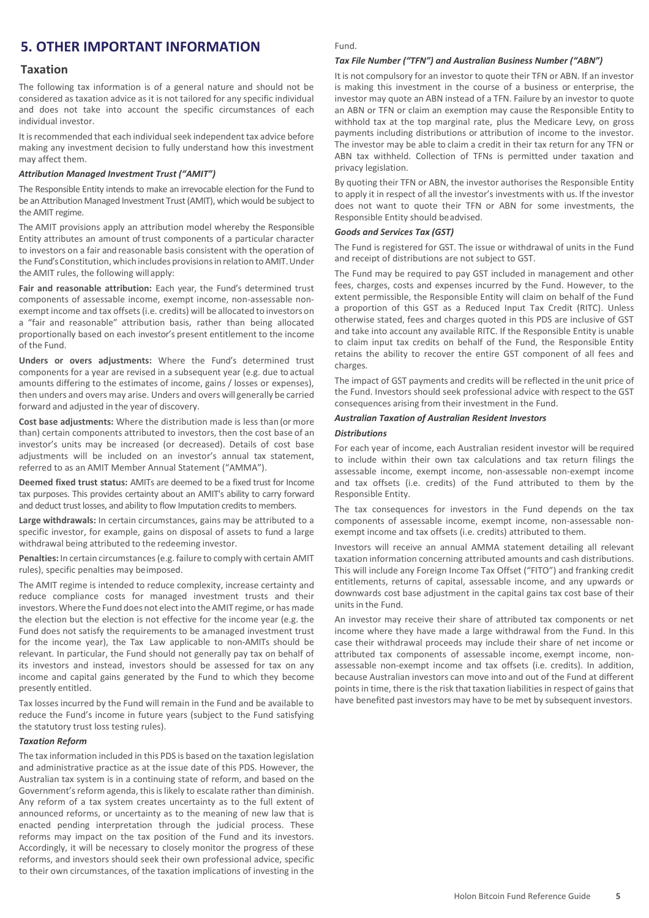## **5. OTHER IMPORTANT INFORMATION**

#### **Taxation**

The following tax information is of a general nature and should not be considered as taxation advice as it is not tailored for any specific individual and does not take into account the specific circumstances of each individual investor.

It is recommended that each individual seek independent tax advice before making any investment decision to fully understand how this investment may affect them.

#### *Attribution Managed Investment Trust ("AMIT")*

The Responsible Entity intends to make an irrevocable election for the Fund to be an Attribution Managed Investment Trust (AMIT), which would be subject to the AMIT regime.

The AMIT provisions apply an attribution model whereby the Responsible Entity attributes an amount of trust components of a particular character to investors on a fair and reasonable basis consistent with the operation of the Fund's Constitution, which includes provisions in relation to AMIT. Under the AMIT rules, the following willapply:

**Fair and reasonable attribution:** Each year, the Fund's determined trust components of assessable income, exempt income, non-assessable nonexempt income and tax offsets (i.e. credits) will be allocated to investors on a "fair and reasonable" attribution basis, rather than being allocated proportionally based on each investor's present entitlement to the income of the Fund.

**Unders or overs adjustments:** Where the Fund's determined trust components for a year are revised in a subsequent year (e.g. due to actual amounts differing to the estimates of income, gains / losses or expenses), then unders and overs may arise. Unders and overs will generally be carried forward and adjusted in the year of discovery.

**Cost base adjustments:** Where the distribution made is less than (or more than) certain components attributed to investors, then the cost base of an investor's units may be increased (or decreased). Details of cost base adjustments will be included on an investor's annual tax statement, referred to as an AMIT Member Annual Statement ("AMMA").

**Deemed fixed trust status:** AMITs are deemed to be a fixed trust for Income tax purposes. This provides certainty about an AMIT's ability to carry forward and deduct trust losses, and ability to flow Imputation credits to members.

**Large withdrawals:** In certain circumstances, gains may be attributed to a specific investor, for example, gains on disposal of assets to fund a large withdrawal being attributed to the redeeming investor.

**Penalties:** In certain circumstances(e.g. failure to comply with certain AMIT rules), specific penalties may beimposed.

The AMIT regime is intended to reduce complexity, increase certainty and reduce compliance costs for managed investment trusts and their investors.Where the Fund does not electinto theAMIT regime, or has made the election but the election is not effective for the income year (e.g. the Fund does not satisfy the requirements to be a managed investment trust for the income year), the Tax Law applicable to non-AMITs should be relevant. In particular, the Fund should not generally pay tax on behalf of its investors and instead, investors should be assessed for tax on any income and capital gains generated by the Fund to which they become presently entitled.

Tax losses incurred by the Fund will remain in the Fund and be available to reduce the Fund's income in future years (subject to the Fund satisfying the statutory trust loss testing rules).

#### *Taxation Reform*

The tax information included in this PDS is based on the taxation legislation and administrative practice as at the issue date of this PDS. However, the Australian tax system is in a continuing state of reform, and based on the Government's reform agenda, this is likely to escalate rather than diminish. Any reform of a tax system creates uncertainty as to the full extent of announced reforms, or uncertainty as to the meaning of new law that is enacted pending interpretation through the judicial process. These reforms may impact on the tax position of the Fund and its investors. Accordingly, it will be necessary to closely monitor the progress of these reforms, and investors should seek their own professional advice, specific to their own circumstances, of the taxation implications of investing in the

#### Fund.

#### *Tax File Number ("TFN") and Australian Business Number ("ABN")*

It is not compulsory for an investor to quote their TFN or ABN. If an investor is making this investment in the course of a business or enterprise, the investor may quote an ABN instead of a TFN. Failure by an investor to quote an ABN or TFN or claim an exemption may cause the Responsible Entity to withhold tax at the top marginal rate, plus the Medicare Levy, on gross payments including distributions or attribution of income to the investor. The investor may be able to claim a credit in their tax return for any TFN or ABN tax withheld. Collection of TFNs is permitted under taxation and privacy legislation.

By quoting their TFN or ABN, the investor authorises the Responsible Entity to apply it in respect of all the investor's investments with us. If the investor does not want to quote their TFN or ABN for some investments, the Responsible Entity should beadvised.

#### *Goods and Services Tax (GST)*

The Fund is registered for GST. The issue or withdrawal of units in the Fund and receipt of distributions are not subject to GST.

The Fund may be required to pay GST included in management and other fees, charges, costs and expenses incurred by the Fund. However, to the extent permissible, the Responsible Entity will claim on behalf of the Fund a proportion of this GST as a Reduced Input Tax Credit (RITC). Unless otherwise stated, fees and charges quoted in this PDS are inclusive of GST and take into account any available RITC. If the Responsible Entity is unable to claim input tax credits on behalf of the Fund, the Responsible Entity retains the ability to recover the entire GST component of all fees and charges.

The impact of GST payments and credits will be reflected in the unit price of the Fund. Investors should seek professional advice with respect to the GST consequences arising from their investment in the Fund.

#### *Australian Taxation of Australian Resident Investors*

#### *Distributions*

For each year of income, each Australian resident investor will be required to include within their own tax calculations and tax return filings the assessable income, exempt income, non-assessable non-exempt income and tax offsets (i.e. credits) of the Fund attributed to them by the Responsible Entity.

The tax consequences for investors in the Fund depends on the tax components of assessable income, exempt income, non-assessable nonexempt income and tax offsets (i.e. credits) attributed to them.

Investors will receive an annual AMMA statement detailing all relevant taxation information concerning attributed amounts and cash distributions. This will include any Foreign Income Tax Offset ("FITO") and franking credit entitlements, returns of capital, assessable income, and any upwards or downwards cost base adjustment in the capital gains tax cost base of their unitsin the Fund.

An investor may receive their share of attributed tax components or net income where they have made a large withdrawal from the Fund. In this case their withdrawal proceeds may include their share of net income or attributed tax components of assessable income, exempt income, nonassessable non-exempt income and tax offsets (i.e. credits). In addition, because Australian investors can move into and out of the Fund at different points in time, there is the risk that taxation liabilities in respect of gains that have benefited past investors may have to be met by subsequent investors.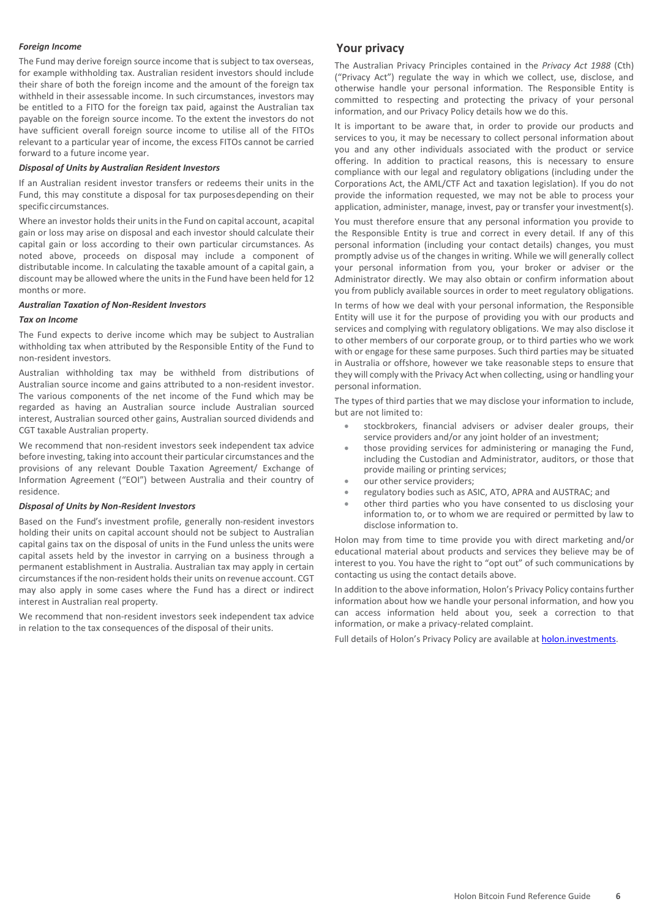#### *Foreign Income*

The Fund may derive foreign source income that is subject to tax overseas, for example withholding tax. Australian resident investors should include their share of both the foreign income and the amount of the foreign tax withheld in their assessable income. In such circumstances, investors may be entitled to a FITO for the foreign tax paid, against the Australian tax payable on the foreign source income. To the extent the investors do not have sufficient overall foreign source income to utilise all of the FITOs relevant to a particular year of income, the excess FITOs cannot be carried forward to a future income year.

#### *Disposal of Units by Australian Resident Investors*

If an Australian resident investor transfers or redeems their units in the Fund, this may constitute a disposal for tax purposesdepending on their specific circumstances.

Where an investor holds their units in the Fund on capital account, a capital gain or loss may arise on disposal and each investor should calculate their capital gain or loss according to their own particular circumstances. As noted above, proceeds on disposal may include a component of distributable income. In calculating the taxable amount of a capital gain, a discount may be allowed where the units in the Fund have been held for 12 months or more.

#### *Australian Taxation of Non-Resident Investors*

#### *Tax on Income*

The Fund expects to derive income which may be subject to Australian withholding tax when attributed by the Responsible Entity of the Fund to non-resident investors.

Australian withholding tax may be withheld from distributions of Australian source income and gains attributed to a non-resident investor. The various components of the net income of the Fund which may be regarded as having an Australian source include Australian sourced interest, Australian sourced other gains, Australian sourced dividends and CGT taxable Australian property.

We recommend that non-resident investors seek independent tax advice before investing, taking into account their particular circumstances and the provisions of any relevant Double Taxation Agreement/ Exchange of Information Agreement ("EOI") between Australia and their country of residence.

#### *Disposal of Units by Non-Resident Investors*

Based on the Fund's investment profile, generally non-resident investors holding their units on capital account should not be subject to Australian capital gains tax on the disposal of units in the Fund unless the units were capital assets held by the investor in carrying on a business through a permanent establishment in Australia. Australian tax may apply in certain circumstances if the non-resident holds their units on revenue account. CGT may also apply in some cases where the Fund has a direct or indirect interest in Australian real property.

We recommend that non-resident investors seek independent tax advice in relation to the tax consequences of the disposal of their units.

#### **Your privacy**

The Australian Privacy Principles contained in the *Privacy Act 1988* (Cth) ("Privacy Act") regulate the way in which we collect, use, disclose, and otherwise handle your personal information. The Responsible Entity is committed to respecting and protecting the privacy of your personal information, and our Privacy Policy details how we do this.

It is important to be aware that, in order to provide our products and services to you, it may be necessary to collect personal information about you and any other individuals associated with the product or service offering. In addition to practical reasons, this is necessary to ensure compliance with our legal and regulatory obligations (including under the Corporations Act, the AML/CTF Act and taxation legislation). If you do not provide the information requested, we may not be able to process your application, administer, manage, invest, pay or transfer your investment(s).

You must therefore ensure that any personal information you provide to the Responsible Entity is true and correct in every detail. If any of this personal information (including your contact details) changes, you must promptly advise us of the changes in writing. While we will generally collect your personal information from you, your broker or adviser or the Administrator directly. We may also obtain or confirm information about you from publicly available sources in order to meet regulatory obligations.

In terms of how we deal with your personal information, the Responsible Entity will use it for the purpose of providing you with our products and services and complying with regulatory obligations. We may also disclose it to other members of our corporate group, or to third parties who we work with or engage for these same purposes. Such third parties may be situated in Australia or offshore, however we take reasonable steps to ensure that they will comply with the Privacy Act when collecting, using or handling your personal information.

The types of third parties that we may disclose your information to include, but are not limited to:

- stockbrokers, financial advisers or adviser dealer groups, their service providers and/or any joint holder of an investment;
- those providing services for administering or managing the Fund, including the Custodian and Administrator, auditors, or those that provide mailing or printing services;
- our other service providers;
- regulatory bodies such as ASIC, ATO, APRA and AUSTRAC; and
- other third parties who you have consented to us disclosing your information to, or to whom we are required or permitted by law to disclose information to.

Holon may from time to time provide you with direct marketing and/or educational material about products and services they believe may be of interest to you. You have the right to "opt out" of such communications by contacting us using the contact details above.

In addition to the above information, Holon's Privacy Policy contains further information about how we handle your personal information, and how you can access information held about you, seek a correction to that information, or make a privacy-related complaint.

Full details of Holon's Privacy Policy are available at [holon.investments.](http://holon.investments/)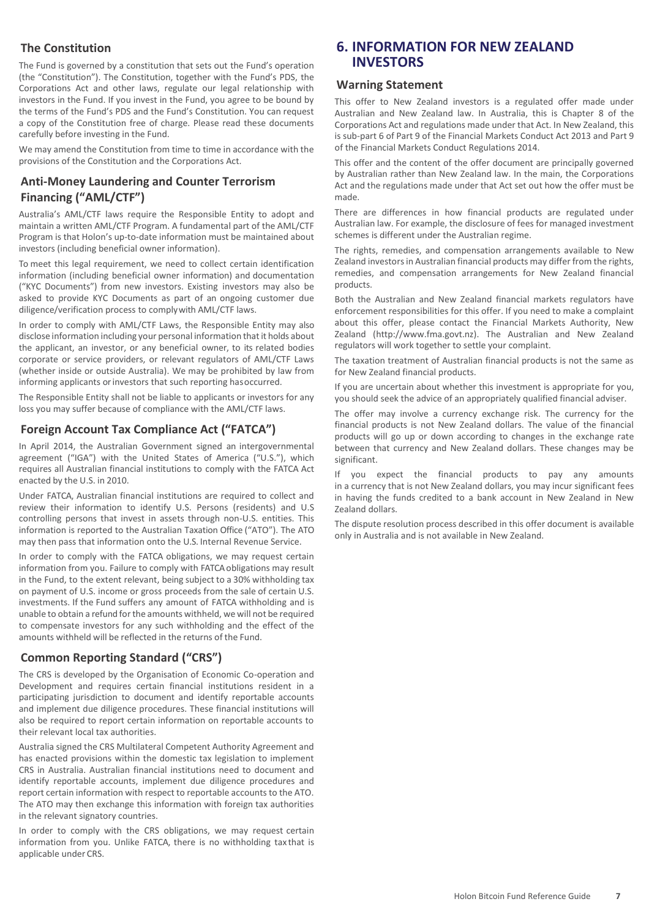## **The Constitution**

The Fund is governed by a constitution that sets out the Fund's operation (the "Constitution"). The Constitution, together with the Fund's PDS, the Corporations Act and other laws, regulate our legal relationship with investors in the Fund. If you invest in the Fund, you agree to be bound by the terms of the Fund's PDS and the Fund's Constitution. You can request a copy of the Constitution free of charge. Please read these documents carefully before investing in the Fund.

We may amend the Constitution from time to time in accordance with the provisions of the Constitution and the Corporations Act.

## **Anti-Money Laundering and Counter Terrorism Financing ("AML/CTF")**

Australia's AML/CTF laws require the Responsible Entity to adopt and maintain a written AML/CTF Program. A fundamental part of the AML/CTF Program is that Holon's up-to-date information must be maintained about investors (including beneficial owner information).

To meet this legal requirement, we need to collect certain identification information (including beneficial owner information) and documentation ("KYC Documents") from new investors. Existing investors may also be asked to provide KYC Documents as part of an ongoing customer due diligence/verification process to complywith AML/CTF laws.

In order to comply with AML/CTF Laws, the Responsible Entity may also disclose information including your personal information that it holds about the applicant, an investor, or any beneficial owner, to its related bodies corporate or service providers, or relevant regulators of AML/CTF Laws (whether inside or outside Australia). We may be prohibited by law from informing applicants or investors that such reporting hasoccurred.

The Responsible Entity shall not be liable to applicants or investors for any loss you may suffer because of compliance with the AML/CTF laws.

## **Foreign Account Tax Compliance Act ("FATCA")**

In April 2014, the Australian Government signed an intergovernmental agreement ("IGA") with the United States of America ("U.S."), which requires all Australian financial institutions to comply with the FATCA Act enacted by the U.S. in 2010.

Under FATCA, Australian financial institutions are required to collect and review their information to identify U.S. Persons (residents) and U.S controlling persons that invest in assets through non-U.S. entities. This information is reported to the Australian Taxation Office ("ATO"). The ATO may then pass that information onto the U.S. Internal Revenue Service.

In order to comply with the FATCA obligations, we may request certain information from you. Failure to comply with FATCA obligations may result in the Fund, to the extent relevant, being subject to a 30% withholding tax on payment of U.S. income or gross proceeds from the sale of certain U.S. investments. If the Fund suffers any amount of FATCA withholding and is unable to obtain a refund for the amounts withheld, we will not be required to compensate investors for any such withholding and the effect of the amounts withheld will be reflected in the returns of the Fund.

## **Common Reporting Standard ("CRS")**

The CRS is developed by the Organisation of Economic Co-operation and Development and requires certain financial institutions resident in a participating jurisdiction to document and identify reportable accounts and implement due diligence procedures. These financial institutions will also be required to report certain information on reportable accounts to their relevant local tax authorities.

Australia signed the CRS Multilateral Competent Authority Agreement and has enacted provisions within the domestic tax legislation to implement CRS in Australia. Australian financial institutions need to document and identify reportable accounts, implement due diligence procedures and report certain information with respect to reportable accounts to the ATO. The ATO may then exchange this information with foreign tax authorities in the relevant signatory countries.

In order to comply with the CRS obligations, we may request certain information from you. Unlike FATCA, there is no withholding tax that is applicable under CRS.

## **6. INFORMATION FOR NEW ZEALAND INVESTORS**

#### **Warning Statement**

This offer to New Zealand investors is a regulated offer made under Australian and New Zealand law. In Australia, this is Chapter 8 of the Corporations Act and regulations made under that Act. In New Zealand, this is sub-part 6 of Part 9 of the Financial Markets Conduct Act 2013 and Part 9 of the Financial Markets Conduct Regulations 2014.

This offer and the content of the offer document are principally governed by Australian rather than New Zealand law. In the main, the Corporations Act and the regulations made under that Act set out how the offer must be made.

There are differences in how financial products are regulated under Australian law. For example, the disclosure of fees for managed investment schemes is different under the Australian regime.

The rights, remedies, and compensation arrangements available to New Zealand investors in Australian financial products may differ from the rights, remedies, and compensation arrangements for New Zealand financial products.

Both the Australian and New Zealand financial markets regulators have enforcement responsibilities for this offer. If you need to make a complaint about this offer, please contact the Financial Markets Authority, New Zealand (http://www.fma.govt.nz). The Australian and New Zealand regulators will work together to settle your complaint.

The taxation treatment of Australian financial products is not the same as for New Zealand financial products.

If you are uncertain about whether this investment is appropriate for you, you should seek the advice of an appropriately qualified financial adviser.

The offer may involve a currency exchange risk. The currency for the financial products is not New Zealand dollars. The value of the financial products will go up or down according to changes in the exchange rate between that currency and New Zealand dollars. These changes may be significant.

If you expect the financial products to pay any amounts in a currency that is not New Zealand dollars, you may incur significant fees in having the funds credited to a bank account in New Zealand in New Zealand dollars.

The dispute resolution process described in this offer document is available only in Australia and is not available in New Zealand.